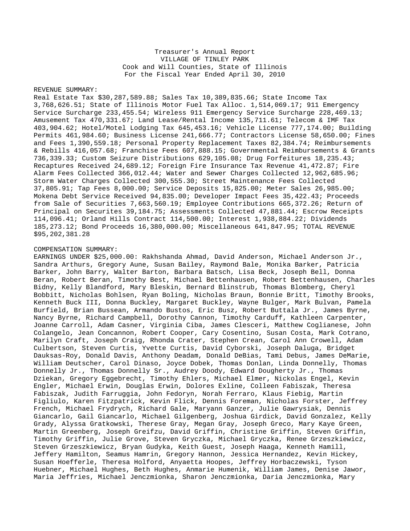# Treasurer's Annual Report VILLAGE OF TINLEY PARK Cook and Will Counties, State of Illinois For the Fiscal Year Ended April 30, 2010

### REVENUE SUMMARY:

Real Estate Tax \$30,287,589.88; Sales Tax 10,389,835.66; State Income Tax 3,768,626.51; State of Illinois Motor Fuel Tax Alloc. 1,514,069.17; 911 Emergency Service Surcharge 233,455.54; Wireless 911 Emergency Service Surcharge 228,469.13; Amusement Tax 470,331.67; Land Lease/Rental Income 135,711.61; Telecom & IMF Tax 403,904.62; Hotel/Motel Lodging Tax 645,453.16; Vehicle License 777,174.00; Building Permits 461,984.60; Business License 241,666.77; Contractors License 58,650.00; Fines and Fees 1,390,559.18; Personal Property Replacement Taxes 82,384.74; Reimbursements & Rebills 416,057.68; Franchise Fees 607,888.15; Governmental Reimbursements & Grants 736,339.33; Custom Seizure Distributions 629,105.08; Drug Forfeitures 18,235.43; Recaptures Received 24,689.12; Foreign Fire Insurance Tax Revenue 41,472.87; Fire Alarm Fees Collected 366,012.44; Water and Sewer Charges Collected 12,962,685.96; Storm Water Charges Collected 300,555.30; Street Maintenance Fees Collected 37,805.91; Tap Fees 8,000.00; Service Deposits 15,825.00; Meter Sales 26,985.00; Mokena Debt Service Received 94,835.00; Developer Impact Fees 35,422.43; Proceeds from Sale of Securities 7,663,560.19; Employee Contributions 665,372.26; Return of Principal on Securites 39,184.75; Assessments Collected 47,881.44; Escrow Receipts 114,096.41; Orland Hills Contract 114,500.00; Interest 1,938,884.22; Dividends 185,273.12; Bond Proceeds 16,380,000.00; Miscellaneous 641,847.95; TOTAL REVENUE \$95,202,381.28

#### COMPENSATION SUMMARY:

EARNINGS UNDER \$25,000.00: Rakhshanda Ahmad, David Anderson, Michael Anderson Jr., Sandra Arthurs, Gregory Aune, Susan Bailey, Raymond Bale, Monika Barker, Patricia Barker, John Barry, Walter Barton, Barbara Batsch, Lisa Beck, Joseph Bell, Donna Beran, Robert Beran, Timothy Best, Michael Bettenhausen, Robert Bettenhausen, Charles Bidny, Kelly Blandford, Mary Bleskin, Bernard Blinstrub, Thomas Blomberg, Cheryl Bobbitt, Nicholas Bohlsen, Ryan Boling, Nicholas Braun, Bonnie Britt, Timothy Brooks, Kenneth Buck III, Donna Buckley, Margaret Buckley, Wayne Bulger, Mark Bulvan, Pamela Burfield, Brian Bussean, Armando Bustos, Eric Busz, Robert Buttala Jr., James Byrne, Nancy Byrne, Richard Campbell, Dorothy Cannon, Timothy Carduff, Kathleen Carpenter, Joanne Carroll, Adam Casner, Virginia Ciba, James Clesceri, Matthew Coglianese, John Colangelo, Jean Concannon, Robert Cooper, Cary Cosentino, Susan Costa, Mark Cotrano, Marilyn Craft, Joseph Craig, Rhonda Crater, Stephen Crean, Carol Ann Crowell, Adam Culbertson, Steven Curtis, Yvette Curtis, David Cyborski, Joseph Daluga, Bridget Dauksas-Roy, Donald Davis, Anthony Deadam, Donald DeBias, Tami Debus, James DeMarie, William Deutscher, Carol Dinaso, Joyce Dobek, Thomas Donlan, Linda Donnelly, Thomas Donnelly Jr., Thomas Donnelly Sr., Audrey Doody, Edward Dougherty Jr., Thomas Dziekan, Gregory Eggebrecht, Timothy Ehlers, Michael Elmer, Nickolas Engel, Kevin Engler, Michael Erwin, Douglas Erwin, Dolores Exline, Colleen Fabiszak, Theresa Fabiszak, Judith Farruggia, John Fedoryn, Norah Ferraro, Klaus Fiebig, Martin Figliulo, Karen Fitzpatrick, Kevin Flick, Dennis Foreman, Nicholas Forster, Jeffrey French, Michael Frydrych, Richard Gale, Maryann Ganzer, Julie Gawrysiak, Dennis Giancarlo, Gail Giancarlo, Michael Gilgenberg, Joshua Girdick, David Gonzalez, Kelly Grady, Alyssa Gratkowski, Therese Gray, Megan Gray, Joseph Greco, Mary Kaye Green, Martin Greenberg, Joseph Greifzu, David Griffin, Christine Griffin, Steven Griffin, Timothy Griffin, Julie Grove, Steven Gryczka, Michael Gryczka, Renee Grzeszkiewicz, Steven Grzeszkiewicz, Bryan Gudyka, Keith Guest, Joseph Haaga, Kenneth Hamill, Jeffery Hamilton, Seamus Hamrin, Gregory Hannon, Jessica Hernandez, Kevin Hickey, Susan Hoefferle, Theresa Holford, Anyaetta Hoopes, Jeffrey Horbaczewski, Tyson Huebner, Michael Hughes, Beth Hughes, Anmarie Humenik, William James, Denise Jawor, Maria Jeffries, Michael Jenczmionka, Sharon Jenczmionka, Daria Jenczmionka, Mary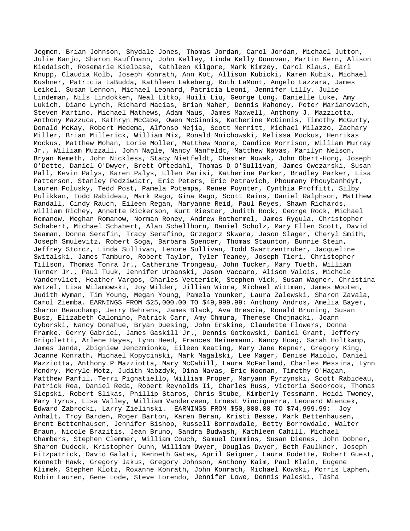Jogmen, Brian Johnson, Shydale Jones, Thomas Jordan, Carol Jordan, Michael Jutton, Julie Kanjo, Sharon Kauffmann, John Kelley, Linda Kelly Donovan, Martin Kern, Alison Kiedaisch, Rosemarie Kielbase, Kathleen Kilgore, Mark Kimzey, Carol Klaus, Earl Knupp, Claudia Kolb, Joseph Konrath, Ann Kot, Allison Kubicki, Karen Kubik, Michael Kushner, Patricia LaBudda, Kathleen Lakeberg, Ruth LaMont, Angelo Lazzara, James Leikel, Susan Lennon, Michael Leonard, Patricia Leoni, Jennifer Lilly, Julie Lindeman, Nils Lindokken, Neal Litko, Huili Liu, George Long, Danielle Luke, Amy Lukich, Diane Lynch, Richard Macias, Brian Maher, Dennis Mahoney, Peter Marianovich, Steven Martino, Michael Mathews, Adam Maus, James Maxwell, Anthony J. Mazziotta, Anthony Mazzuca, Kathryn McCabe, Owen McGinnis, Katherine McGinnis, Timothy McGurty, Donald McKay, Robert Medema, Alfonso Mejia, Scott Merritt, Michael Milazzo, Zachary Miller, Brian Millerick, William Mix, Ronald Mnichowski, Melissa Mockus, Henrikas Mockus, Matthew Mohan, Lorie Moller, Matthew Moore, Candice Morrison, William Murray Jr., William Muzzall, John Nagle, Nancy Nanfeldt, Matthew Navas, Marilyn Nelson, Bryan Nemeth, John Nickless, Stacy Nietfeldt, Chester Nowak, John Obert-Hong, Joseph O'Dette, Daniel O'Dwyer, Brett Oftedahl, Thomas D O'Sullivan, James Owczarski, Susan Pall, Kevin Palys, Karen Palys, Ellen Parisi, Katherine Parker, Bradley Parker, Lisa Patterson, Stanley Pedziwiatr, Eric Peters, Eric Petravich, Phoumany Phouybanhdyt, Lauren Polusky, Tedd Post, Pamela Potempa, Renee Poynter, Cynthia Proffitt, Silby Pulikkan, Todd Rabideau, Mark Rago, Gina Rago, Scott Rains, Daniel Ralphson, Matthew Randall, Cindy Rauch, Eileen Regan, Maryanne Reid, Paul Reyes, Shawn Richards, William Richey, Annette Rickerson, Kurt Riester, Judith Rock, George Rock, Michael Romanow, Meghan Romanow, Norman Roney, Andrew Rothermel, James Rygula, Christopher Schabert, Michael Schabert, Alan Schellhorn, Daniel Scholz, Mary Ellen Scott, David Seaman, Donna Serafin, Tracy Serafino, Grzegorz Skwara, Jason Slager, Cheryl Smith, Joseph Smulevitz, Robert Soga, Barbara Spencer, Thomas Staunton, Bunnie Stein, Jeffrey Storcz, Linda Sullivan, Lenore Sullivan, Todd Swartzentruber, Jacqueline Switalski, James Tamburo, Robert Taylor, Tyler Teaney, Joseph Tieri, Christopher Tillson, Thomas Tonra Jr., Catherine Trongeau, John Tucker, Mary Tueth, William Turner Jr., Paul Tuuk, Jennifer Urbanski, Jason Vaccaro, Alison Valois, Michele Vandervliet, Heather Vargos, Charles Vetterick, Stephen Vick, Susan Wagner, Christina Wetzel, Lisa Wilamowski, Joy Wilder, Jillian Wiora, Michael Wittman, James Wooten, Judith Wyman, Tim Young, Megan Young, Pamela Younker, Laura Zalewski, Sharon Zavala, Carol Ziemba. EARNINGS FROM \$25,000.00 TO \$49,999.99: Anthony Andros, Amelia Bayer, Sharon Beauchamp, Jerry Behrens, James Black, Ava Brescia, Ronald Bruning, Susan Busz, Elizabeth Calomino, Patrick Carr, Amy Chmura, Therese Chojnacki, Joann Cyborski, Nancy Donahue, Bryan Duesing, John Erskine, Claudette Flowers, Donna Framke, Gerry Gabriel, James Gaskill Jr., Dennis Gotkowski, Daniel Grant, Jeffery Grigoletti, Arlene Hayes, Lynn Heed, Frances Heinemann, Nancy Hoag, Sarah Holtkamp, James Janda, Zbigniew Jenczmionka, Eileen Keating, Mary Jane Kepner, Gregory King, Joanne Konrath, Michael Kopycinski, Mark Magalski, Lee Mager, Denise Maiolo, Daniel Mazziotta, Anthony P Mazziotta, Mary McCahill, Laura McFarland, Charles Messina, Lynn Mondry, Meryle Motz, Judith Nabzdyk, Dina Navas, Eric Noonan, Timothy O'Hagan, Matthew Panfil, Terri Pignatiello, William Proper, Maryann Pyrzynski, Scott Rabideau, Patrick Rea, Daniel Reda, Robert Reynolds Ii, Charles Russ, Victoria Sedorook, Thomas Slepski, Robert Slikas, Phillip Staros, Chris Stube, Kimberly Tessmann, Heidi Twomey, Mary Tyrus, Lisa Valley, William Vanderveen, Ernest Vinciguerra, Leonard Wiencek, Edward Zabrocki, Larry Zielinski. EARNINGS FROM \$50,000.00 TO \$74,999.99: Joy Anhalt, Troy Barden, Roger Barton, Karen Beran, Kristi Besse, Mark Bettenhausen, Brent Bettenhausen, Jennifer Bishop, Russell Borrowdale, Betty Borrowdale, Walter Braun, Nicole Brazitis, Jean Bruno, Sandra Budwash, Kathleen Cahill, Michael Chambers, Stephen Clemmer, William Couch, Samuel Cummins, Susan Dienes, John Dobner, Sharon Dudeck, Kristopher Dunn, William Dwyer, Douglas Dwyer, Beth Faulkner, Joseph Fitzpatrick, David Galati, Kenneth Gates, April Geigner, Laura Godette, Robert Guest, Kenneth Hawk, Gregory Jakus, Gregory Johnson, Anthony Kaim, Paul Klain, Eugene Klimek, Stephen Klotz, Roxanne Konrath, John Konrath, Michael Kowski, Morris Laphen, Robin Lauren, Gene Lode, Steve Lorendo, Jennifer Lowe, Dennis Maleski, Tasha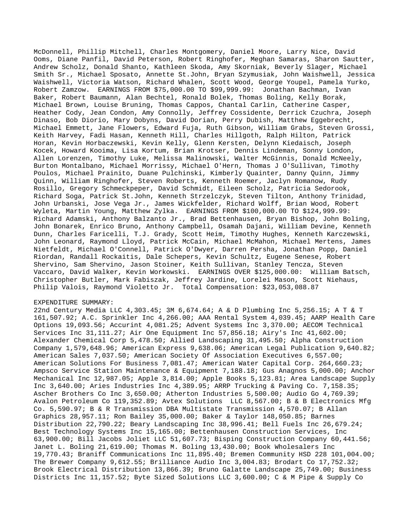McDonnell, Phillip Mitchell, Charles Montgomery, Daniel Moore, Larry Nice, David Ooms, Diane Panfil, David Peterson, Robert Ringhofer, Meghan Samaras, Sharon Sautter, Andrew Scholz, Donald Shanto, Kathleen Skoda, Amy Skorniak, Beverly Slager, Michael Smith Sr., Michael Sposato, Annette St.John, Bryan Szymusiak, John Waishwell, Jessica Waishwell, Victoria Watson, Richard Whalen, Scott Wood, George Youpel, Pamela Yurko, Robert Zamzow. EARNINGS FROM \$75,000.00 TO \$99,999.99: Jonathan Bachman, Ivan Baker, Robert Baumann, Alan Bechtel, Ronald Bolek, Thomas Boling, Kelly Borak, Michael Brown, Louise Bruning, Thomas Cappos, Chantal Carlin, Catherine Casper, Heather Cody, Jean Condon, Amy Connolly, Jeffrey Cossidente, Derrick Czuchra, Joseph Dinaso, Bob Diorio, Mary Dobyns, David Dorian, Perry Dubish, Matthew Eggebrecht, Michael Emmett, Jane Flowers, Edward Fuja, Ruth Gibson, William Grabs, Steven Grossi, Keith Harvey, Fadi Hasan, Kenneth Hill, Charles Hillgoth, Ralph Hilton, Patrick Horan, Kevin Horbaczewski, Kevin Kelly, Glenn Kersten, Delynn Kiedaisch, Joseph Kocek, Howard Kooima, Lisa Kortum, Brian Krotser, Dennis Lindeman, Sonny London, Allen Lorenzen, Timothy Luke, Melissa Malinowski, Walter McGinnis, Donald McNeely, Burton Montalbano, Michael Morrissy, Michael O'Hern, Thomas J O'Sullivan, Timothy Poulos, Michael Prainito, Duane Pulchinski, Kimberly Quainter, Danny Quinn, Jimmy Quinn, William Ringhofer, Steven Roberts, Kenneth Roemer, Jaclyn Romanow, Rudy Rosillo, Gregory Schmeckpeper, David Schmidt, Eileen Scholz, Patricia Sedorook, Richard Soga, Patrick St.John, Kenneth Strzelczyk, Steven Tilton, Anthony Trinidad, John Urbanski, Jose Vega Jr., James Wickfelder, Richard Wolff, Brian Wood, Robert Wyleta, Martin Young, Matthew Zylka. EARNINGS FROM \$100,000.00 TO \$124,999.99: Richard Adamski, Anthony Balzanto Jr., Brad Bettenhausen, Bryan Bishop, John Boling, John Bonarek, Enrico Bruno, Anthony Campbell, Osamah Dajani, William Devine, Kenneth Dunn, Charles Faricelli, T.J. Grady, Scott Heim, Timothy Hughes, Kenneth Karczewski, John Leonard, Raymond Lloyd, Patrick McCain, Michael McMahon, Michael Mertens, James Nietfeldt, Michael O'Connell, Patrick O'Dwyer, Darren Persha, Jonathan Popp, Daniel Riordan, Randall Rockaitis, Dale Schepers, Kevin Schultz, Eugene Senese, Robert Shervino, Sam Shervino, Jason Stoiner, Keith Sullivan, Stanley Tencza, Steven Vaccaro, David Walker, Kevin Workowski. EARNINGS OVER \$125,000.00: William Batsch, Christopher Butler, Mark Fabiszak, Jeffrey Jardine, Lorelei Mason, Scott Niehaus, Philip Valois, Raymond Violetto Jr. Total Compensation: \$23,053,088.87

## EXPENDITURE SUMMARY:

22nd Century Media LLC 4,303.45; 3M 6,674.64; A & D Plumbing Inc 5,256.15; A T & T 161,507.92; A.C. Sprinkler Inc 4,266.00; AAA Rental System 4,039.45; AARP Health Care Options 19,093.56; Accurint 4,081.25; Advent Systems Inc 3,370.00; AECOM Technical Services Inc 31,111.27; Air One Equipment Inc 57,856.18; Airy's Inc 41,602.00; Alexander Chemical Corp 5,478.50; Allied Landscaping 31,495.50; Alpha Construction Company 1,579,648.96; American Express 9,638.06; American Legal Publication 9,640.82; American Sales 7,037.50; American Society Of Association Executives 6,557.00; American Solutions For Business 7,081.47; American Water Capital Corp. 264,660.23; Ampsco Service Station Maintenance & Equipment 7,188.18; Gus Anagnos 5,000.00; Anchor Mechanical Inc 12,987.05; Apple 3,814.00; Apple Books 5,123.81; Area Landscape Supply Inc 3,640.00; Aries Industries Inc 4,389.95; ARRP Trucking & Paving Co. 7,158.35; Ascher Brothers Co Inc 3,650.00; Atherton Industries 5,500.00; Audio Go 4,769.39; Avalon Petroleum Co 119,352.89; Avtex Solutions LLC 8,567.00; B & B Electronics Mfg Co. 5,590.97; B & R Transmission DBA Multistate Transmission 4,570.07; B Allan Graphics 28,957.11; Ron Bailey 35,000.00; Baker & Taylor 148,050.85; Barnes Distribution 22,790.22; Beary Landscaping Inc 38,996.41; Bell Fuels Inc 26,679.24; Best Technology Systems Inc 15,165.00; Bettenhausen Construction Services, Inc 63,900.00; Bill Jacobs Joliet LLC 51,607.73; Bisping Construction Company 60,441.56; Janet L. Boling 21,619.00; Thomas M. Boling 13,430.00; Book Wholesalers Inc 19,770.43; Braniff Communications Inc 11,895.40; Bremen Community HSD 228 101,004.00; The Brewer Company 9,612.55; Brilliance Audio Inc 3,004.83; Brodart Co 17,752.32; Brook Electrical Distribution 13,866.39; Bruno Galatte Landscape 25,749.00; Business Districts Inc 11,157.52; Byte Sized Solutions LLC 3,600.00; C & M Pipe & Supply Co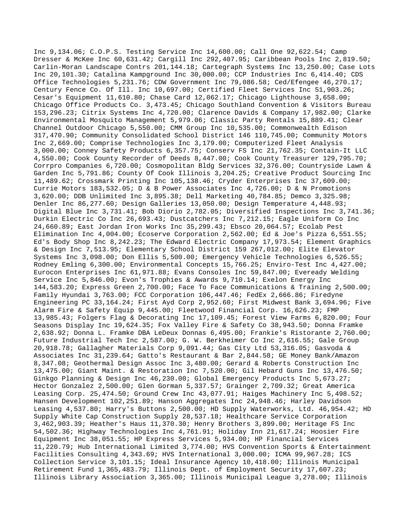Inc 9,134.06; C.O.P.S. Testing Service Inc 14,600.00; Call One 92,622.54; Camp Dresser & McKee Inc 60,631.42; Cargill Inc 292,407.95; Caribbean Pools Inc 2,819.50; Carlin-Moran Landscape Contrs 201,144.18; Cartegraph Systems Inc 13,250.00; Case Lots Inc 20,101.30; Catalina Kampground Inc 30,000.00; CCP Industries Inc 6,414.40; CDS Office Technologies 5,231.76; CDW Government Inc 79,086.58; Ced/Efengee 46,270.17; Century Fence Co. Of Ill. Inc 10,697.00; Certified Fleet Services Inc 51,903.26; Cesar's Equipment 11,610.80; Chase Card 12,062.17; Chicago Lighthouse 3,658.00; Chicago Office Products Co. 3,473.45; Chicago Southland Convention & Visitors Bureau 153,296.23; Citrix Systems Inc 4,720.00; Clarence Davids & Company 17,982.00; Clarke Environmental Mosquito Management 5,979.06; Classic Party Rentals 15,889.41; Clear Channel Outdoor Chicago 5,550.00; CMM Group Inc 10,535.00; Commonwealth Edison 317,470.90; Community Consolidated School District 146 110,745.00; Community Motors Inc 2,669.00; Comprise Technologies Inc 3,179.00; Computerized Fleet Analysis 3,000.00; Conney Safety Products 6,357.75; Conserv FS Inc 21,762.35; Contain-It LLC 4,550.00; Cook County Recorder of Deeds 8,447.00; Cook County Treasurer 129,795.70; Corrpro Companies 6,720.00; Cosmopolitan Bldg Services 32,376.00; Countryside Lawn & Garden Inc 5,791.86; County Of Cook Illinois 3,204.25; Creative Product Sourcing Inc 11,489.62; Crossmark Printing Inc 105,138.46; Cryder Enterprises Inc 37,609.00; Currie Motors 183,532.05; D & B Power Associates Inc 4,726.00; D & N Promotions 3,620.00; DDB Unlimited Inc 3,895.38; Dell Marketing 40,784.85; Demco 3,325.98; Denler Inc 86,277.60; Design Galleries 13,050.00; Design Temperature 4,448.93; Digital Blue Inc 3,731.41; Bob Diorio 2,782.05; Diversified Inspections Inc 3,741.36; Durkin Electric Co Inc 26,693.43; Dustcatchers Inc 7,212.15; Eagle Uniform Co Inc 24,660.89; East Jordan Iron Works Inc 35,299.43; Ebsco 20,064.57; Ecolab Pest Elimination Inc 4,004.00; Ecoserve Corporation 2,562.00; Ed & Joe's Pizza 6,551.55; Ed's Body Shop Inc 8,242.23; The Edward Electric Company 17,973.54; Element Graphics & Design Inc 7,513.95; Elementary School District 159 267,012.00; Elite Elevator Systems Inc 3,098.00; Don Ellis 5,500.00; Emergency Vehicle Technologies 6,526.55; Rodney Emling 6,300.00; Environmental Concepts 15,766.25; Enviro-Test Inc 4,427.00; Eurocon Enterprises Inc 61,971.88; Evans Consoles Inc 59,847.00; Eveready Welding Service Inc 5,846.00; Evon's Trophies & Awards 9,710.14; Exelon Energy Inc 144,583.20; Express Green 2,700.00; Face To Face Communications & Training 2,500.00; Family Hyundai 3,763.00; FCC Corporation 106,447.46; FedEx 2,666.86; Firedyne Engineering PC 33,164.24; First Ayd Corp 2,952.60; First Midwest Bank 3,694.96; Five Alarm Fire & Safety Equip 9,445.00; Fleetwood Financial Corp. 16,626.23; FMP 13,985.43; Folgers Flag & Decorating Inc 17,109.45; Forest View Farms 6,820.00; Four Seasons Display Inc 19,624.35; Fox Valley Fire & Safety Co 38,943.50; Donna Framke 2,638.92; Donna L. Framke DBA LeDeux Donnas 6,495.00; Frankie's Ristorante 2,760.00; Future Industrial Tech Inc 2,587.00; G. W. Berkheimer Co Inc 2,616.55; Gale Group 20,918.78; Gallagher Materials Corp 9,091.44; Gas City Ltd 53,316.05; Gasvoda & Associates Inc 31,239.64; Gatto's Restaurant & Bar 2,844.58; GE Money Bank/Amazon 8,347.08; Geothermal Design Assoc Inc 3,480.00; Gerard & Roberts Construction Inc 13,475.00; Giant Maint. & Restoration Inc 7,520.00; Gil Hebard Guns Inc 13,476.50; Ginkgo Planning & Design Inc 46,230.00; Global Emergency Products Inc 5,673.27; Hector Gonzalez 2,500.00; Glen Gorman 5,337.57; Grainger 2,709.32; Great America Leasing Corp. 25,474.50; Ground Crew Inc 43,077.91; Haiges Machinery Inc 5,498.52; Hansen Development 102,251.89; Hanson Aggregates Inc 24,948.46; Harley Davidson Leasing 4,537.80; Harry's Buttons 2,500.00; HD Supply Waterworks, Ltd. 46,954.42; HD Supply White Cap Construction Supply 28,537.18; Healthcare Service Corporation 3,462,903.39; Heather's Haus 11,370.30; Henry Brothers 3,899.00; Heritage FS Inc 54,502.36; Highway Technologies Inc 4,761.91; Holiday Inn 21,617.24; Hoosier Fire Equipment Inc 38,051.55; HP Express Services 5,934.00; HP Financial Services 11,220.79; Hub International Limited 3,774.00; HVS Convention Sports & Entertainment Facilities Consulting 4,343.69; HVS International 3,000.00; ICMA 99,967.28; ICS Collection Service 3,101.15; Ideal Insurance Agency 10,418.00; Illinois Municipal Retirement Fund 1,365,483.79; Illinois Dept. of Employment Security 17,607.23; Illinois Library Association 3,365.00; Illinois Municipal League 3,278.00; Illinois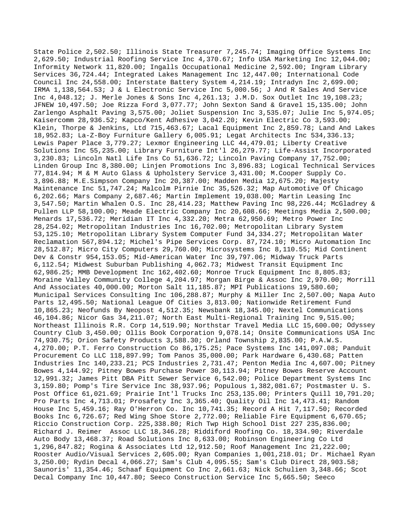State Police 2,502.50; Illinois State Treasurer 7,245.74; Imaging Office Systems Inc 2,629.50; Industrial Roofing Service Inc 4,370.67; Info USA Marketing Inc 12,044.00; Informity Network 11,820.00; Ingalls Occupational Medicine 2,592.00; Ingram Library Services 36,724.44; Integrated Lakes Management Inc 12,447.00; International Code Council Inc 24,558.00; Interstate Battery System 4,214.19; Intradyn Inc 2,699.00; IRMA 1,138,564.53; J & L Electronic Service Inc 5,000.56; J And R Sales And Service Inc 4,048.12; J. Merle Jones & Sons Inc 4,261.13; J.M.D. Sox Outlet Inc 19,108.23; JFNEW 10,497.50; Joe Rizza Ford 3,077.77; John Sexton Sand & Gravel 15,135.00; John Zarlengo Asphalt Paving 3,575.00; Joliet Suspension Inc 3,535.07; Julie Inc 5,974.05; Kaisercomm 28,936.52; Kapco/Kent Adhesive 3,042.20; Kevin Electric Co 3,593.00; Klein, Thorpe & Jenkins, Ltd 715,463.67; Lacal Equipment Inc 2,859.78; Land And Lakes 18,952.83; La-Z-Boy Furniture Gallery 6,005.91; Legat Architects Inc 534,336.13; Lewis Paper Place 3,779.27; Lexmor Engineering LLC 44,479.01; Liberty Creative Solutions Inc 55,235.00; Library Furniture Int'l 26,279.77; Life-Assist Incorporated 3,230.83; Lincoln Natl Life Ins Co 51,636.72; Lincoln Paving Company 17,752.00; Linden Group Inc 8,380.00; Linjen Promotions Inc 3,896.83; Logical Technical Services 77,814.94; M & M Auto Glass & Upholstery Service 3,431.00; M.Cooper Supply Co. 3,896.88; M.E.Simpson Company Inc 20,387.00; Madden Media 12,675.20; Majesty Maintenance Inc 51,747.24; Malcolm Pirnie Inc 35,526.32; Map Automotive Of Chicago 6,202.66; Mars Company 2,687.46; Martin Implement 19,038.00; Martin Leasing Inc 3,547.50; Martin Whalen O.S. Inc 28,414.23; Matthew Paving Inc 98,226.44; McGladrey & Pullen LLP 58,100.00; Meade Electric Company Inc 20,608.66; Meetings Media 2,500.00; Menards 17,536.72; Meridian IT Inc 4,332.20; Metra 62,950.69; Metro Power Inc 28,254.02; Metropolitan Industries Inc 16,702.00; Metropolitan Library System 53,125.10; Metropolitan Library System Computer Fund 34,334.27; Metropolitan Water Reclamation 567,894.12; Michel's Pipe Services Corp. 87,724.10; Micro Automation Inc 28,512.87; Micro City Computers 29,760.00; Microsystems Inc 8,110.55; Mid Continent Dev & Constr 954,153.05; Mid-American Water Inc 39,797.06; Midway Truck Parts 6,112.54; Midwest Suburban Publishing 4,062.73; Midwest Transit Equipment Inc 62,986.25; MMB Development Inc 162,402.60; Monroe Truck Equipment Inc 8,805.83; Moraine Valley Community College 4,204.97; Morgan Birge & Assoc Inc 2,970.00; Morrill And Associates 40,000.00; Morton Salt 11,185.87; MPI Publications 19,580.60; Municipal Services Consulting Inc 106,288.87; Murphy & Miller Inc 2,507.00; Napa Auto Parts 12,495.50; National League Of Cities 3,813.00; Nationwide Retirement Fund 10,865.23; Neofunds By Neopost 4,512.35; Newsbank 18,345.00; Nextel Communications 46,104.86; Nicor Gas 34,211.07; North East Multi-Regional Training Inc 9,515.00; Northeast Illinois R.R. Corp 14,519.90; Northstar Travel Media LLC 15,600.00; Odyssey Country Club 3,450.00; Ollis Book Corporation 9,078.14; Onsite Communications USA Inc 74,930.75; Orion Safety Products 3,588.30; Orland Township 2,835.00; P.A.W.S. 4,270.00; P.T. Ferro Construction Co 86,175.25; Pace Systems Inc 141,097.08; Panduit Procurement Co LLC 118,897.99; Tom Panos 35,000.00; Park Hardware 6,430.68; Patten Industries Inc 140,233.21; PCS Industries 2,731.47; Penton Media Inc 4,607.00; Pitney Bowes 4,144.92; Pitney Bowes Purchase Power 30,113.94; Pitney Bowes Reserve Account 12,991.32; James Pitt DBA Pitt Sewer Service 6,542.00; Police Department Systems Inc 3,159.80; Pomp's Tire Service Inc 38,937.96; Populous 1,382,081.67; Postmaster U. S. Post Office 61,021.69; Prairie Int'l Trucks Inc 253,135.00; Printers Quill 10,791.20; Pro Parts Inc 4,713.01; Prosafety Inc 3,365.40; Quality Oil Inc 14,473.41; Random House Inc 5,459.16; Ray O'Herron Co. Inc 10,741.35; Record A Hit 7,117.50; Recorded Books Inc 6,726.67; Red Wing Shoe Store 2,772.00; Reliable Fire Equipment 6,670.65; Riccio Construction Corp. 225,338.80; Rich Twp High School Dist 227 235,836.00; Richard J. Reimer Assoc LLC 18,346.28; Riddiford Roofing Co. 18,334.90; Riverdale Auto Body 13,468.37; Road Solutions Inc 8,633.00; Robinson Engineering Co Ltd 1,296,847.82; Rogina & Associates Ltd 12,912.50; Roof Management Inc 21,222.00; Rooster Audio/Visual Services 2,605.00; Ryan Companies 1,001,218.01; Dr. Michael Ryan 3,250.00; Rydin Decal 4,066.27; Sam's Club 4,095.55; Sam's Club Direct 28,903.58; Saunoris' 11,354.46; Schaaf Equipment Co Inc 2,661.63; Nick Schulien 3,348.66; Scot Decal Company Inc 10,447.80; Seeco Construction Service Inc 5,665.50; Seeco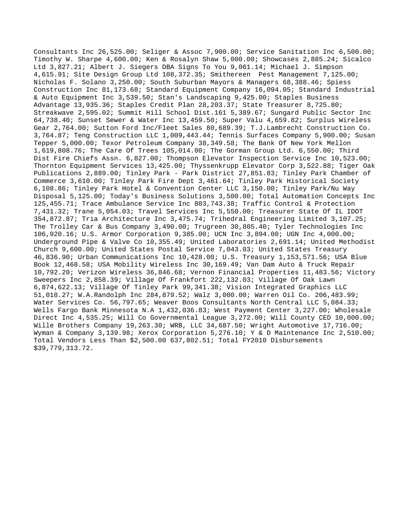Consultants Inc 26,525.00; Seliger & Assoc 7,900.00; Service Sanitation Inc 6,500.00; Timothy W. Sharpe 4,600.00; Ken & Rosalyn Shaw 5,000.00; Showcases 2,885.24; Sicalco Ltd 3,827.21; Albert J. Siegers DBA Signs To You 9,061.14; Michael J. Simpson 4,615.91; Site Design Group Ltd 108,372.35; Smithereen Pest Management 7,125.00; Nicholas F. Solano 3,250.00; South Suburban Mayors & Managers 68,388.46; Spiess Construction Inc 81,173.68; Standard Equipment Company 16,094.05; Standard Industrial & Auto Equipment Inc 3,539.50; Stan's Landscaping 9,425.00; Staples Business Advantage 13,935.36; Staples Credit Plan 28,203.37; State Treasurer 8,725.80; Streakwave 2,595.02; Summit Hill School Dist.161 5,389.67; Sungard Public Sector Inc 64,738.40; Sunset Sewer & Water Inc 13,459.50; Super Valu 4,659.82; Surplus Wireless Gear 2,764.00; Sutton Ford Inc/Fleet Sales 80,689.39; T.J.Lambrecht Construction Co. 3,764.87; Teng Construction LLC 1,009,443.44; Tennis Surfaces Company 5,900.00; Susan Tepper 5,000.00; Texor Petroleum Company 38,349.58; The Bank Of New York Mellon 1,619,808.76; The Care Of Trees 105,014.00; The Gorman Group Ltd. 6,550.00; Third Dist Fire Chiefs Assn. 6,827.00; Thompson Elevator Inspection Service Inc 10,523.00; Thornton Equipment Services 13,425.00; Thyssenkrupp Elevator Corp 3,522.88; Tiger Oak Publications 2,889.00; Tinley Park - Park District 27,851.83; Tinley Park Chamber of Commerce 3,610.00; Tinley Park Fire Dept 3,461.64; Tinley Park Historical Society 6,108.86; Tinley Park Hotel & Convention Center LLC 3,150.00; Tinley Park/Nu Way Disposal 5,125.00; Today's Business Solutions 3,500.00; Total Automation Concepts Inc 125,455.71; Trace Ambulance Service Inc 803,743.38; Traffic Control & Protection 7,431.32; Trane 5,054.03; Travel Services Inc 5,550.00; Treasurer State Of IL IDOT 354,872.87; Tria Architecture Inc 3,475.74; Trihedral Engineering Limited 3,107.25; The Trolley Car & Bus Company 3,490.00; Trugreen 30,805.40; Tyler Technologies Inc 106,920.16; U.S. Armor Corporation 9,385.00; UCN Inc 3,894.00; UGN Inc 4,000.00; Underground Pipe & Valve Co 10,355.49; United Laboratories 2,691.14; United Methodist Church 9,600.00; United States Postal Service 7,043.03; United States Treasury 46,836.90; Urban Communications Inc 10,428.00; U.S. Treasury 1,153,571.56; USA Blue Book 12,468.58; USA Mobility Wireless Inc 30,169.49; Van Dam Auto & Truck Repair 10,792.20; Verizon Wireless 36,846.68; Vernon Financial Properties 11,483.56; Victory Sweepers Inc 2,858.39; Village Of Frankfort 222,132.03; Village Of Oak Lawn 6,874,622.13; Village Of Tinley Park 99,341.38; Vision Integrated Graphics LLC 51,018.27; W.A.Randolph Inc 284,879.52; Walz 3,000.00; Warren Oil Co. 206,483.99; Water Services Co. 56,797.65; Weaver Boos Consultants North Central LLC 5,084.33; Wells Fargo Bank Minnesota N.A 1,432,036.83; West Payment Center 3,227.00; Wholesale Direct Inc 4,535.25; Will Co Governmental League 3,272.00; Will County CED 10,000.00; Wille Brothers Company 19,263.30; WRB, LLC 34,687.50; Wright Automotive 17,716.00; Wyman & Company 3,139.98; Xerox Corporation 5,276.10; Y & D Maintenance Inc 2,510.00; Total Vendors Less Than \$2,500.00 637,802.51; Total FY2010 Disbursements \$39,779,313.72.